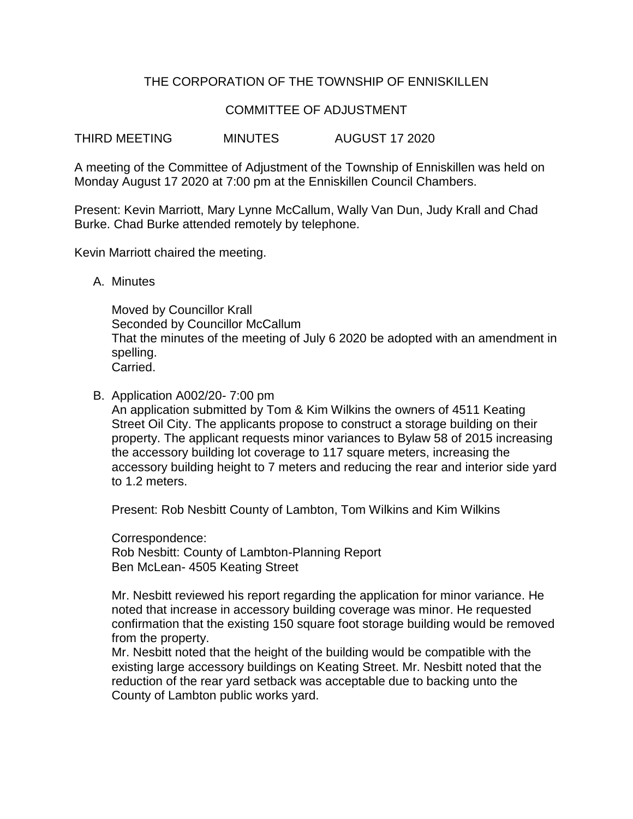# THE CORPORATION OF THE TOWNSHIP OF ENNISKILLEN

## COMMITTEE OF ADJUSTMENT

THIRD MEETING MINUTES AUGUST 17 2020

A meeting of the Committee of Adjustment of the Township of Enniskillen was held on Monday August 17 2020 at 7:00 pm at the Enniskillen Council Chambers.

Present: Kevin Marriott, Mary Lynne McCallum, Wally Van Dun, Judy Krall and Chad Burke. Chad Burke attended remotely by telephone.

Kevin Marriott chaired the meeting.

A. Minutes

Moved by Councillor Krall Seconded by Councillor McCallum That the minutes of the meeting of July 6 2020 be adopted with an amendment in spelling. Carried.

B. Application A002/20- 7:00 pm

An application submitted by Tom & Kim Wilkins the owners of 4511 Keating Street Oil City. The applicants propose to construct a storage building on their property. The applicant requests minor variances to Bylaw 58 of 2015 increasing the accessory building lot coverage to 117 square meters, increasing the accessory building height to 7 meters and reducing the rear and interior side yard to 1.2 meters.

Present: Rob Nesbitt County of Lambton, Tom Wilkins and Kim Wilkins

Correspondence: Rob Nesbitt: County of Lambton-Planning Report Ben McLean- 4505 Keating Street

Mr. Nesbitt reviewed his report regarding the application for minor variance. He noted that increase in accessory building coverage was minor. He requested confirmation that the existing 150 square foot storage building would be removed from the property.

Mr. Nesbitt noted that the height of the building would be compatible with the existing large accessory buildings on Keating Street. Mr. Nesbitt noted that the reduction of the rear yard setback was acceptable due to backing unto the County of Lambton public works yard.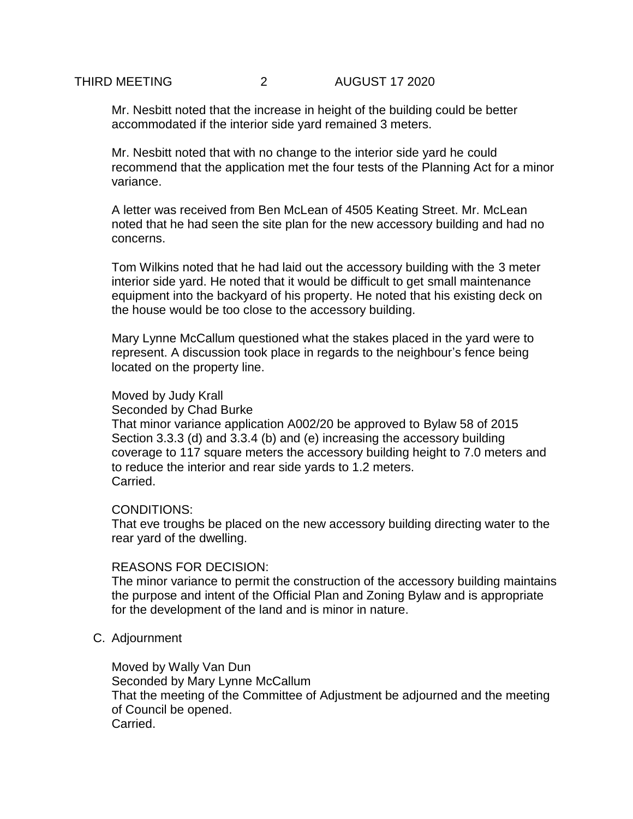Mr. Nesbitt noted that the increase in height of the building could be better accommodated if the interior side yard remained 3 meters.

Mr. Nesbitt noted that with no change to the interior side yard he could recommend that the application met the four tests of the Planning Act for a minor variance.

A letter was received from Ben McLean of 4505 Keating Street. Mr. McLean noted that he had seen the site plan for the new accessory building and had no concerns.

Tom Wilkins noted that he had laid out the accessory building with the 3 meter interior side yard. He noted that it would be difficult to get small maintenance equipment into the backyard of his property. He noted that his existing deck on the house would be too close to the accessory building.

Mary Lynne McCallum questioned what the stakes placed in the yard were to represent. A discussion took place in regards to the neighbour's fence being located on the property line.

### Moved by Judy Krall

Seconded by Chad Burke

That minor variance application A002/20 be approved to Bylaw 58 of 2015 Section 3.3.3 (d) and 3.3.4 (b) and (e) increasing the accessory building coverage to 117 square meters the accessory building height to 7.0 meters and to reduce the interior and rear side yards to 1.2 meters. Carried.

#### CONDITIONS:

That eve troughs be placed on the new accessory building directing water to the rear yard of the dwelling.

#### REASONS FOR DECISION:

The minor variance to permit the construction of the accessory building maintains the purpose and intent of the Official Plan and Zoning Bylaw and is appropriate for the development of the land and is minor in nature.

#### C. Adjournment

Moved by Wally Van Dun Seconded by Mary Lynne McCallum That the meeting of the Committee of Adjustment be adjourned and the meeting of Council be opened. Carried.